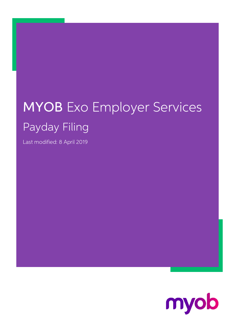## MYOB Exo Employer Services Payday Filing

Last modified: 8 April 2019

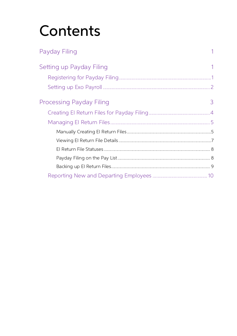# Contents

| Payday Filing                   |   |
|---------------------------------|---|
| Setting up Payday Filing        |   |
|                                 |   |
|                                 |   |
| <b>Processing Payday Filing</b> | 3 |
|                                 |   |
|                                 |   |
|                                 |   |
|                                 |   |
|                                 |   |
|                                 |   |
|                                 |   |
|                                 |   |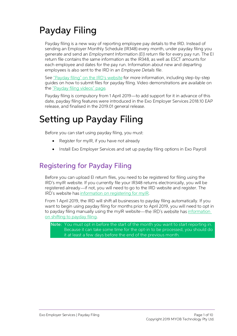## <span id="page-2-0"></span>Payday Filing

Payday filing is a new way of reporting employee pay details to the IRD. Instead of<br>sending an Employer Monthly Schedule (IR348) every month, under payday filing you<br>generate and send an *Employment Information (EI) return* 

See<u>"Payday filing" on the IRD's website</u> for more information, including step-by-step guides on how to submit files for payday filing. Video demonstrations are available on the "Payday filing videos" page.

Payday filing is compulsory from 1 April 2019—to add support for it in advance of this date, payday filing features were introduced in the Exo Employer Services 2018.10 EAP release, and finalised in the 2019.01 general rel

## <span id="page-2-1"></span>Setting up Payday Filing

Before you can start using payday filing, you must:

- Register for myIR, if you have not already
- Install Exo Employer Services and set up payday filing options in Exo Payroll

### <span id="page-2-2"></span>Registering for Payday Filing

Before you can upload EI return files, you need to be registered for filing using the IRD's myIR website. If you currently file your IR348 returns electronically, you will be registered already—if not, you will need to go

From 1 April 2019, the IRD will shift all businesses to payday filing automatically. If you want to begin using payday filing for months prior to April 2019, you will need to opt in to payday filing manually using the myIR

Note: You must opt in before the start of the month you want to start reporting in.<br>Because it can take some time for the opt-in to be processed, you should do it at least a few days before the end of the previous month.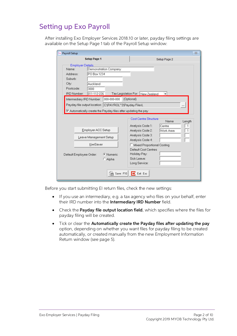#### <span id="page-3-0"></span>Setting up Exo Payroll

After installing Exo Employer Services 2018.10 or later, payday filing settings are available on the Setup Page 1 tab of the Payroll Setup window:

| Exo Payroll Setup                                                                                                                                                                                                                                                            | $\Sigma$                                                                                                                                                                                                                                                                                                            |
|------------------------------------------------------------------------------------------------------------------------------------------------------------------------------------------------------------------------------------------------------------------------------|---------------------------------------------------------------------------------------------------------------------------------------------------------------------------------------------------------------------------------------------------------------------------------------------------------------------|
| <b>Setup Page 1</b>                                                                                                                                                                                                                                                          | Setup Page 2                                                                                                                                                                                                                                                                                                        |
| <b>Employer Details</b><br>Demonstration Company<br>Name:<br>PO Box 1234<br>Address:<br>Suburb:<br>City:<br>Auckland<br>Postcode:<br>3000<br>011-112-226<br>IRD Number:<br>Intermediary IRD Number:<br>000-000-000<br>Payday file output location: C:\PAYROL~2\Payday Files\ | Tax Legislation For: New Zealand<br>(Optional)<br>                                                                                                                                                                                                                                                                  |
| $\blacktriangledown$ Automatically create the Payday files after updating the pay<br>Employer ACC Setup<br>Leave Management Setup<br>KiwiSaver<br>C Numeric<br>Default Employee Order:<br>C Alpha<br>$\mathbb{R}$ Save: F10                                                  | <b>Cost Centre Structure</b><br>Name<br>Length<br>Analysis Code 1:<br>Centre<br>$\mathbf{1}$<br>Analysis Code 2:<br>Work Area<br>1<br>Analysis Code 3:<br>Analysis Code 4:<br>$\Box$ Mixed Proportional Costing<br>Default Cost Centres<br>Holiday Pay:<br>Sick Leave:<br>Long Service:<br>$\rightarrow$ Exit: Esc. |

Before you start submitting EI return files, check the new settings:

- If you use an intermediary, e.g. a tax agency who files on your behalf, enter their IRD number into the **Intermediary IRD Number** field.
- Check the **Payday file output location field**, which specifies where the files for payday filing will be created.
- Tick or clear the Automatically create the Payday files after updating the pay option, depending on whether you want files for payday filing to be created automatically, or created manually from the new Employment Information Return window (see page [5\)](#page-6-0).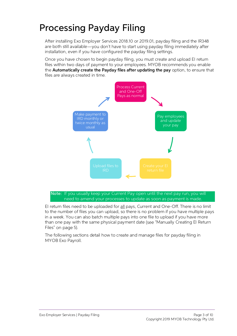### <span id="page-4-0"></span>Processing Payday Filing

After installing Exo Employer Services 2018.10 or 2019.01, payday filing and the IR348<br>are both still available—you don't have to start using payday filing immediately after installation, even if you have configured the payday filing settings.

Once you have chosen to begin payday filing, you must create and upload EI return<br>files within two days of payment to your employees. MYOB recommends you enable the **Automatically create the Payday files after updating the pay** option, to ensure that files are always created in time.



Note: If you usually keep your Current Pay open until the next pay run, you will<br>need to amend your processes to update as soon as payment is made.<br>El return files need to be uploaded for <u>all</u> pays, Current and One-Off. T

The following sections detail how to create and manage files for payday filing in MYOB Exo Payroll.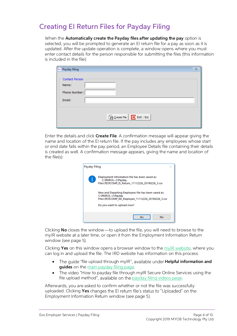#### <span id="page-5-0"></span>Creating EI Return Files for Payday Filing

When the **Automatically create the Payday files after updating the pay** option is selected, you will be prompted to generate an EI return file for a pay as soon as it is updated. After the update operation is complete, a w

| Exo Payday filing                                         | $\Sigma$ |
|-----------------------------------------------------------|----------|
| <b>Contact Person</b><br>Name:<br>Phone Number:<br>Email: |          |
| Generate File <b>E</b> Exit : Esc                         |          |

Enter the details and click **Create File**. A confirmation message will appear giving the name and location of the EI return file. If the pay includes any employees whose start or end date falls within the pay period, an Em



Clicking **No** closes the window—to upload the file, you will need to browse to the myIR website at a later time, or open it from the Employment Information Return window (see page [5\)](#page-6-0).

Clicking Yes on this window opens a browser window to the [myIR website,](https://services.ird.govt.nz/irsso/login.jsp) where you can log in and upload the file. The IRD website has information on this process:

- The guide "file upload through myIR", available under **Helpful information and guides** on the main payday filing page.
- The video "How to payday file through myIR Secure Online Services using the file upload method", available on the payday filing videos page.

Afterwards, you are asked to confirm whether or not the file was successfully uploaded. Clicking **Yes** changes the El return file's status to "Uploaded" on the Employment Information Return window (see page [5\)](#page-6-0).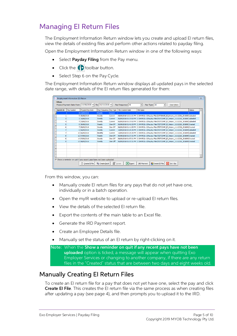#### <span id="page-6-0"></span>Managing EI Return Files

The Employment Information Return window lets you create and upload EI return files, view the details of existing files and perform other actions related to payday filing.

Open the Employment Information Return window in one of the following ways:

- Select Payday Filing from the Pay menu.
- Click the  $\bigoplus$  toolbar button.
- Select Step 6 on the Pay Cycle.

The Employment Information Return window displays all updated pays in the selected date range, with details of the EI return files generated for them:

|                   | Em Employment Information (EI) Return |                                                                            |                           |         |                            |                                                                                              |               | $\Sigma$ |
|-------------------|---------------------------------------|----------------------------------------------------------------------------|---------------------------|---------|----------------------------|----------------------------------------------------------------------------------------------|---------------|----------|
| <b>Filters</b>    |                                       | Physical Payment Date From: 10/08/2018 - To: 10/10/2018 -                  |                           |         | Pay Frequency: All         | $\blacktriangledown$<br>Pay Type: All<br>$\vert \cdot \vert$<br><b>Clear Eilters</b>         |               |          |
| <b>Batch ID</b> ≜ | Pay Number                            | Physical Pay Date                                                          | Pay Frequency Pay Type    |         | File Created Date          | <b>File Name</b>                                                                             | <b>Status</b> |          |
|                   |                                       | 9 13/09/2018                                                               | Weekly                    | Current |                            |                                                                                              |               |          |
|                   |                                       | 5 30/08/2018                                                               | Weekly                    | Current |                            | 05/09/2018 12:21:31 PM C:\PAYROL~2\Payday Files\DATABASE_EI_Return_11112226_2018083Uploaded  |               |          |
| 3                 |                                       | 3 16/08/2018                                                               | Weekly                    | Current |                            | 06/09/2018 01:37:02 PM C:\PAYROL~2\Payday Files\TESTCOMP EI Return 11112226 2018081Uploaded  |               |          |
|                   |                                       | 4 23/08/2018                                                               | Weekly                    | Current |                            | 06/09/2018 01:37:02 PM C:\PAYROL~2\Payday Files\TESTCOMP EI Return 11112226 2018082Uploaded  |               |          |
| 5                 |                                       | 8 30/08/2018                                                               | Weekly                    | One-Off |                            | 06/09/2018 01:41:53 PM C: \PAYROL~2\Payday Files\TESTCOMP EI Return 11112226 2018083Created  |               |          |
| 6                 |                                       | 7 05/09/2018                                                               | Weekly                    | One-Off |                            | 06/09/2018 01:41:53 PM C:\PAYROL~2\Payday Files\TESTCOMP EI Return 11112226 201809(Created   |               |          |
|                   |                                       | 6 06/09/2018                                                               | Weekly                    | Current |                            | 10/09/2018 03:29:25 PM C: \PAYROL~2\Payday Files\TESTCOMP EI Return 11112226 201809(Uploaded |               |          |
|                   |                                       | 10 06/09/2018                                                              | Monthly                   | Current |                            | 10/09/2018 03:29:25 PM C:\PAYROL~2\Payday Files\TESTCOMP EI Return 11112226 201809(Uploaded  |               |          |
| 8                 |                                       | 12 07/09/2018                                                              | Weekly                    | One-Off |                            | 06/09/2018 01:57:31 PM C:\PAYROL~2\Payday Files\TESTCOMP_EI_Return_11112226_201809(Created   |               |          |
| 8                 |                                       | 14 07/09/2018                                                              | Weekly                    | One-Off |                            | 06/09/2018 01:57:31 PM C:\PAYROL~2\Payday Files\TESTCOMP_EI_Return_11112226_2018090Created   |               |          |
| 9                 |                                       | 13 08/09/2018                                                              | Weekly                    | One-Off |                            | 06/09/2018 01:57:31 PM C:\PAYROL~2\Payday Files\TESTCOMP_EI_Return_11112226_2018090Created   |               |          |
|                   |                                       |                                                                            |                           |         |                            |                                                                                              |               |          |
|                   |                                       |                                                                            |                           |         |                            |                                                                                              |               |          |
|                   |                                       |                                                                            |                           |         |                            |                                                                                              |               |          |
|                   |                                       |                                                                            |                           |         |                            |                                                                                              |               |          |
|                   |                                       |                                                                            |                           |         |                            |                                                                                              |               |          |
|                   |                                       | $\nabla$ Show a reminder on quit if any recent pays have not been uploaded |                           |         |                            |                                                                                              |               |          |
|                   |                                       | n Create EI File                                                           | <sup>2</sup> Create Batch |         | <b>X</b> Export<br>Details | $\Rightarrow$ Exit : Esc<br><b>Create ED File</b><br><b>IRD Payment</b>                      |               |          |

From this window, you can:

- Manually create EI return files for any pays that do not yet have one, individually or in a batch operation.
- Open the myIR website to upload or re-upload EI return files.
- View the details of the selected EI return file.
- Export the contents of the main table to an Excel file.
- Generate the IRD Payment report.
- Create an Employee Details file.
- Manually set the status of an EI return by right-clicking on it.

Note: When the Show a reminder on quit if any recent pays have not been<br>uploaded option is ticked, a message will appear when quitting Exo<br>Employer Services or changing to another company, if there are any return files in the "Created" status that are between two days and eight weeks old.

#### <span id="page-6-1"></span>Manually Creating EI Return Files

To create an EI return file for a pay that does not yet have one, select the pay and click **Create EI File**. This creates the EI return file via the same process as when creating files after updating a pay (see page 4), and then prompts you to upload it to the IRD.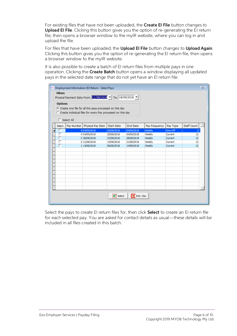For existing files that have not been uploaded, the Create EI File button changes to Upload EI File. Clicking this button gives you the option of re-generating the EI return file, then opens a browser window to the myIR website, where you can log in and upload the file.

For files that have been uploaded, the **Upload EI File** button changes to **Upload Again**. Clicking this button gives you the option of re-generating the EI return file, then opens a browser window to the myIR website.

<span id="page-7-0"></span>It is also possible to create a batch of EI return files from multiple pays in one<br>operation. Clicking the **Create Batch** button opens a window displaying all updated<br>pays in the selected date range that do not yet have an

| Exo |                                                                                                                                             |            | Employment Information (EI) Return - Select Pays          |                              |                         |               |          | $\Sigma$       |  |  |
|-----|---------------------------------------------------------------------------------------------------------------------------------------------|------------|-----------------------------------------------------------|------------------------------|-------------------------|---------------|----------|----------------|--|--|
|     | <b>Filters</b>                                                                                                                              |            | Physical Payment Date From: 11/08/2018 - To: 18/09/2018 - |                              |                         |               |          |                |  |  |
|     | <b>Options</b><br>C Create one file for all the pays processed on this day<br>C Create individual files for every Pay processed on this day |            |                                                           |                              |                         |               |          |                |  |  |
|     | $\Box$ Select All                                                                                                                           |            |                                                           |                              |                         |               |          |                |  |  |
|     | Select                                                                                                                                      | Pay Number | Physical Pay Date                                         | <b>Start Date</b>            | <b>End Date</b>         | Pay Frequency | Pay Type | Staff Count    |  |  |
|     |                                                                                                                                             |            | 5 04/09/2018                                              | 29/08/2018                   | 04/09/2018              | Weekly        | One-Off  | $\overline{2}$ |  |  |
|     | г                                                                                                                                           |            | 4 04/09/2018                                              | 29/08/2018                   | 04/09/2018              | Weekly        | Current  | 12             |  |  |
|     |                                                                                                                                             |            | 3 28/08/2018                                              | 22/08/2018                   | 28/08/2018              | Weekly        | Current  | 12             |  |  |
|     | г                                                                                                                                           |            | 2 21/08/2018                                              | 15/08/2018                   | 21/08/2018              | Weekly        | Current  | 12             |  |  |
|     |                                                                                                                                             |            | 1 14/08/2018                                              | 08/08/2018                   | 14/08/2018              | Weekly        | Current  | 12             |  |  |
|     |                                                                                                                                             |            |                                                           |                              |                         |               |          |                |  |  |
|     |                                                                                                                                             |            |                                                           |                              |                         |               |          |                |  |  |
|     |                                                                                                                                             |            |                                                           |                              |                         |               |          |                |  |  |
|     |                                                                                                                                             |            |                                                           |                              |                         |               |          |                |  |  |
|     |                                                                                                                                             |            |                                                           |                              |                         |               |          |                |  |  |
|     |                                                                                                                                             |            |                                                           |                              |                         |               |          |                |  |  |
|     |                                                                                                                                             |            |                                                           |                              |                         |               |          |                |  |  |
|     |                                                                                                                                             |            |                                                           |                              |                         |               |          |                |  |  |
|     |                                                                                                                                             |            |                                                           |                              |                         |               |          |                |  |  |
|     |                                                                                                                                             |            |                                                           |                              |                         |               |          |                |  |  |
|     |                                                                                                                                             |            |                                                           |                              |                         |               |          |                |  |  |
|     |                                                                                                                                             |            |                                                           | $\blacktriangleright$ Select | $\mathbf{E}$ Exit : Esc |               |          |                |  |  |

Select the pays to create EI return files for, then click **Select** to create an EI return file<br>for each selected pay. You are asked for contact details as usual—these details will be<br>included in all files created in this b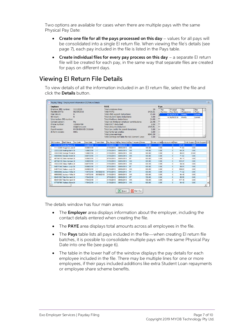Two options are available for cases when there are multiple pays with the same<br>Physical Pay Date:

- Create one file for all the pays processed on this day  $-$  values for all pays will be consolidated into a single EI return file. When viewing the file's details (see page [7\)](#page-8-0), each pay included in the file is listed in the Pays table.
- Create individual files for every pay process on this day  $-$  a separate EI return file will be created for each pay, in the same way that separate files are created for pays on different days.

#### <span id="page-8-0"></span>Viewing EI Return File Details

To view details of all the information included in an EI return file, select the file and click the Details button.

| Employer                                        |                                      |                    | PAYF                                               |                                                  |        |                 | Pays                              |               |         |           |                             |
|-------------------------------------------------|--------------------------------------|--------------------|----------------------------------------------------|--------------------------------------------------|--------|-----------------|-----------------------------------|---------------|---------|-----------|-----------------------------|
| Employer IRD number:                            | 11112226                             |                    | Total employee lines:                              |                                                  |        | 16              | Pav                               | Physical      | Pay     |           | Pay                         |
| Paydate DATE:                                   | 06/09/2018                           |                    | <b>Total PAYE:</b>                                 |                                                  |        | 1436.51         | Number                            | Pay Date      |         | Frequency | Type                        |
| Final return:                                   | N                                    |                    |                                                    | Total child support deductions:                  |        | 25.00           | N                                 | 10 06/09/2018 | Monthly |           | Current                     |
| Nil return:                                     | N                                    |                    |                                                    | Total student loans deductions:                  |        | 0.00            |                                   | 6 06/09/2018  | Weekly  |           | Current                     |
| Intermediary IRD number:                        |                                      |                    | <b>Total KiwiSaver deductions:</b>                 |                                                  |        | 24.00           |                                   |               |         |           |                             |
| Contact person:                                 | Me                                   |                    |                                                    | Total net KiwiSaver emplover contributions:      |        | 21.48           |                                   |               |         |           |                             |
| Phone number:                                   | 123456789                            |                    | <b>Total ESCT deducted:</b>                        |                                                  |        | 2.52            |                                   |               |         |           |                             |
| Email:                                          | me@here.com                          |                    | Total amounts deducted:                            |                                                  |        | 1509.51         |                                   |               |         |           |                             |
| Pavroll version:<br><b>IR form version:</b>     | MYOB EXO ES 2018.04                  |                    |                                                    | Total tax credits for payroll donations:         |        | 0.00            |                                   |               |         |           |                             |
|                                                 | 0001                                 |                    | Total family tax credits:<br>Total gross earnings: |                                                  |        | 0.00<br>9840.30 |                                   |               |         |           |                             |
|                                                 |                                      |                    |                                                    | Total earnings not liable for ACC Earners' Levy: |        | 0.00            |                                   |               |         |           |                             |
|                                                 |                                      |                    |                                                    |                                                  |        |                 |                                   |               |         |           |                             |
| <b>IRD Number</b><br><b>Staff Name</b>          | <b>Tax Code</b><br><b>Start Date</b> | <b>Finish Date</b> |                                                    | Pay Period Sta Pay Period EngPay Frequenc Gross  |        |                 | Gross not liab Lump sum indi Paye |               |         |           | Child Support Child Support |
| 11111114 Smith Sandra M                         | 30/06/2016                           | $\vert I \vert I$  | 31/08/2018                                         | 06/09/2018<br><b>WK</b>                          | 720.00 |                 | 0.00                              | 0             | 117.16  | 0.00      |                             |
| 11112226 Houghton Jani M                        | 30/06/2016                           | $\frac{1}{2}$      | 31/08/2018                                         |                                                  |        |                 |                                   |               |         |           |                             |
|                                                 |                                      |                    |                                                    | 06/09/2018<br><b>WK</b>                          | 480.00 |                 | 0.00                              | $\bullet$     | 71.82   | 0.00      |                             |
| 22222228 Keating Karl A M                       | 13/06/2016                           | I                  | 31/08/2018                                         | 06/09/2018<br><b>WK</b>                          | 440.00 |                 | 0.00                              | $\Omega$      | 64.26   | 0.00      |                             |
| 33333346 George Thoma M                         | 13/06/2016                           | $\frac{1}{2}$      | 31/08/2018                                         | <b>WK</b><br>06/09/2018                          | 560.00 |                 | 0.00                              | $\mathbf{0}$  | 86.93   | 25.00     |                             |
| 44444445 Karuso Robins M                        | 04/07/2016                           | $\vert I \vert$    | 31/08/2018                                         | 06/09/2018<br><b>WK</b>                          | 480.00 |                 | 0.00                              | $\mathbf{0}$  | 71.82   | 0.00      |                             |
| 46784510 Giles Harrison M                       | 30/06/2016                           | $^{\prime}$        | 07/08/2018                                         | <b>MT</b><br>06/09/2018                          | 800.00 |                 | 0.00                              | $\bullet$     | 95.11   | 0.00      |                             |
| 46784510 Giles Harrison M                       | 30/06/2016                           | I                  | 31/08/2018                                         | 06/09/2018<br><b>WK</b>                          | 800.00 |                 | 0.00                              | $\Omega$      | 132.27  | 0.00      |                             |
| 55555559 Hillary Matthey M                      | 04/07/2016                           | $\frac{1}{2}$      | 31/08/2018                                         | 06/09/2018<br><b>WK</b>                          | 600.30 |                 | 0.00                              | $\Omega$      | 94.54   | 0.00      |                             |
| 64871544 Watson Judy IM                         | 08/08/2016                           | I                  | 07/08/2018                                         | <b>MT</b><br>06/09/2018                          | 680.00 |                 | 0.00                              | $\mathbf{0}$  | 80.81   | 0.00      |                             |
| 64871544 Watson Judy IM                         | 08/08/2016                           | $^{\prime}$        | 31/08/2018                                         | <b>WK</b><br>06/09/2018                          | 680.00 |                 | 0.00                              | $\mathbf{0}$  | 109.60  | 0.00      |                             |
| 6666662 Jackson Willia M                        | 11/07/2016                           | 06/09/2018         | 07/08/2018                                         | 06/09/2018<br><b>MT</b>                          | 600.00 |                 | 0.00                              | $\mathbf{0}$  | 71.32   | 0.00      |                             |
| 6666662 Jackson Willia M                        | 11/07/2016                           | 06/09/2018         | 31/08/2018                                         | 06/09/2018<br><b>WK</b>                          | 600.00 |                 | 0.00                              | $\bullet$     | 94.49   | 0.00      |                             |
| 68461383 Tate Bernard (M                        | 17/04/2016                           | $\frac{1}{2}$      | 07/08/2018                                         | 06/09/2018<br><b>MT</b>                          | 720.00 |                 | 0.00                              | $\Omega$      | 85.58   | 0.00      |                             |
| 68461383 Tate Bernard (M                        | 17/04/2016                           | $\frac{1}{2}$      | 31/08/2018                                         | 06/09/2018<br><b>WK</b>                          | 720.00 |                 | 0.00                              | $\Omega$      | 117.16  | 0.00      |                             |
| 97798796 Wallace Edwa M<br>$\blacktriangleleft$ | 17/04/2016                           | $\frac{1}{2}$      | 31/08/2018                                         | 06/09/2018<br><b>WK</b>                          | 600.00 |                 | 0.00                              | $\Omega$      | 94.49   | 0.00      |                             |

The details window has four main areas:

- The **Employer** area displays information about the employer, including the contact details entered when creating the file.
- The PAYE area displays total amounts across all employees in the file.
- The **Pays** table lists all pays included in the file—when creating EI return file batches, it is possible to consolidate multiple pays with the same Physical Pay Date into one file (see page [6\)](#page-7-0).
- The table in the lower half of the window displays the pay details for each employee included in the file. There may be multiple lines for one or more employees, if their pays included additions like extra Student Loan r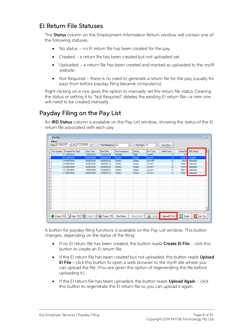#### <span id="page-9-0"></span>EI Return File Statuses

The **Status** column on the Employment Information Return window will contain one of the following statuses:

- No status  $-$  no EI return file has been created for the pay.
- Created a return file has been created but not uploaded yet.
- Uploaded a return file has been created and marked as uploaded to the myIR website.
- Not Required there is no need to generate a return file for the pay (usually for pays from before payday filing became compulsory).

Right-clicking on a row gives the option to manually set the return file status. Clearing<br>the status or setting it to "Not Required" deletes the existing EI return file—a new one<br>will need to be created manually.

#### <span id="page-9-1"></span>Payday Filing on the Pay List

An **IRD Status** column is available on the Pay List window, showing the status of the EI return file associated with each pay.

| Exo Pay List   |                                                                     |                   |                    |                      |               |                          |                    |                   | $\Sigma$                         |
|----------------|---------------------------------------------------------------------|-------------------|--------------------|----------------------|---------------|--------------------------|--------------------|-------------------|----------------------------------|
| <b>Filters</b> | From: $11/09/2017$ $\bullet$ To: $11/10/2018$ $\bullet$             |                   | Pay Frequency: All | $\blacktriangledown$ | Pay Type: All | $\overline{\phantom{a}}$ | Clear Eilters      |                   |                                  |
| Pay Number     | Physical Pay Date                                                   | <b>Start Date</b> | <b>End Date</b>    | Pay Frequency        | <b>Status</b> | Pay Type                 | <b>Staff Count</b> | <b>Gross Paid</b> | <b>IRD Status</b><br>Ŀ           |
|                | 7 11/09/2018                                                        | 12/08/2018        | 11/09/2018         | Monthly              | Open          | Current                  | $\circ$            | 0.0               |                                  |
|                | 6 11/09/2018                                                        | 05/09/2018        | 11/09/2018         | Weekly               | Closed        | Current                  | 12                 | 7040.3            | Created                          |
|                | 5 04/09/2018                                                        | 29/08/2018        | 04/09/2018         | Weekly               | Closed        | One-Off                  | 12                 | 250.0             | Uploaded                         |
|                | 4 04/09/2018                                                        | 29/08/2018        | 04/09/2018         | Weekly               | Closed        | Current                  | 12                 | 7040.3            | Uploaded                         |
|                | 3 28/08/2018                                                        | 22/08/2018        | 28/08/2018         | Weekly               | Closed        | Current                  | 12                 |                   | 7040.3 Uploaded                  |
|                | 2 21/08/2018                                                        | 15/08/2018        | 21/08/2018         | Weekly               | Closed        | Current                  | 12                 | 7664.3            | Uploaded                         |
|                | 1 14/08/2018                                                        | 08/08/2018        | 14/08/2018         | Weekly               | Closed        | Current                  | 12                 | 7040.3            | Uploaded                         |
|                |                                                                     |                   |                    |                      |               |                          |                    |                   |                                  |
|                |                                                                     |                   |                    |                      |               |                          |                    |                   |                                  |
|                |                                                                     |                   |                    |                      |               |                          |                    |                   |                                  |
|                |                                                                     |                   |                    |                      |               |                          |                    |                   |                                  |
|                |                                                                     |                   |                    |                      |               |                          |                    |                   |                                  |
|                |                                                                     |                   |                    |                      |               |                          |                    |                   |                                  |
|                |                                                                     |                   |                    |                      |               |                          |                    |                   |                                  |
|                |                                                                     |                   |                    |                      |               |                          |                    |                   |                                  |
|                |                                                                     |                   |                    |                      |               |                          |                    |                   |                                  |
|                |                                                                     |                   |                    |                      |               |                          |                    |                   |                                  |
|                |                                                                     |                   |                    |                      |               |                          |                    |                   | $\overline{\phantom{a}}$         |
|                |                                                                     |                   |                    |                      |               |                          |                    |                   |                                  |
|                | <b>Create: F4   4</b> View: F5   Delete: F6   <b>Fax</b> Report: F9 |                   |                    | Pay Sheet            | Direct Credit | Update                   | Upload El File     | <b>X</b> Export   | $\boxed{\rightarrow}$ Exit : Esc |
|                |                                                                     |                   |                    |                      |               |                          |                    |                   |                                  |

A button for payday filing functions is available on the Pay List window. This button changes, depending on the status of the filing:

- If no EI return file has been created, the button reads **Create EI File** click this button to create an EI return file.
- If the EI return file has been created but not uploaded, the button reads Upload EI File—click this button to open a web browser to the myIR site where you can upload the file. (You are given the option of regenerating t
- If the EI return file has been uploaded, the button reads **Upload Again** click this button to regenerate the EI return file so you can upload it again.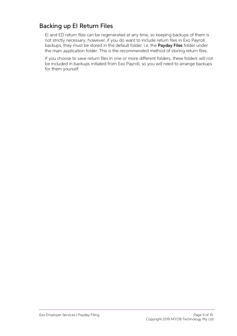#### <span id="page-10-0"></span>Backing up EI Return Files

El and ED return files can be regenerated at any time, so keeping backups of them is<br>not strictly necessary; however, if you do want to include return files in Exo Payroll<br>backups, they must be stored in the default folder

If you choose to save return files in one or more different folders, these folders will not be included in backups initiated from Exo Payroll, so you will need to arrange backups for them yourself.